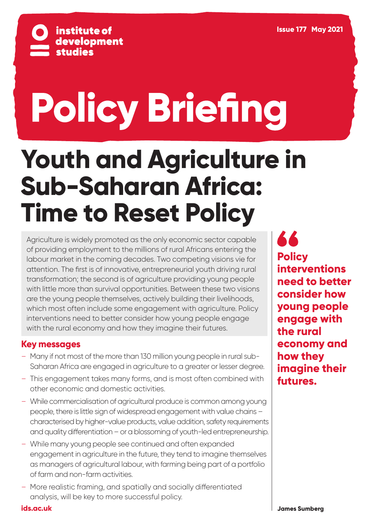

# **Policy Briefing**

## **Youth and Agriculture in Sub-Saharan Africa: Time to Reset Policy**

Agriculture is widely promoted as the only economic sector capable of providing employment to the millions of rural Africans entering the labour market in the coming decades. Two competing visions vie for attention. The first is of innovative, entrepreneurial youth driving rural transformation; the second is of agriculture providing young people with little more than survival opportunities. Between these two visions are the young people themselves, actively building their livelihoods, which most often include some engagement with agriculture. Policy interventions need to better consider how young people engage with the rural economy and how they imagine their futures.

#### **Key messages**

- Many if not most of the more than 130 million young people in rural sub-Saharan Africa are engaged in agriculture to a greater or lesser degree.
- This engagement takes many forms, and is most often combined with other economic and domestic activities.
- While commercialisation of agricultural produce is common among young people, there is little sign of widespread engagement with value chains – characterised by higher-value products, value addition, safety requirements and quality differentiation – or a blossoming of youth-led entrepreneurship.
- While many young people see continued and often expanded engagement in agriculture in the future, they tend to imagine themselves as managers of agricultural labour, with farming being part of a portfolio of farm and non-farm activities.
- More realistic framing, and spatially and socially differentiated analysis, will be key to more successful policy.

66 **Policy interventions need to better consider how young people engage with the rural economy and how they imagine their futures.**

**[ids.ac.uk](https://www.ids.ac.uk/)**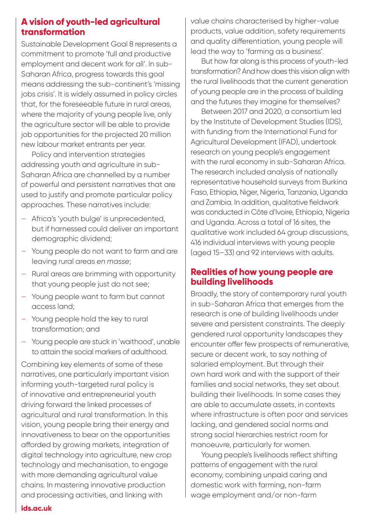#### **A vision of youth-led agricultural transformation**

Sustainable Development Goal 8 represents a commitment to promote 'full and productive employment and decent work for all'. In sub-Saharan Africa, progress towards this goal means addressing the sub-continent's 'missing jobs crisis'. It is widely assumed in policy circles that, for the foreseeable future in rural areas, where the majority of young people live, only the agriculture sector will be able to provide job opportunities for the projected 20 million new labour market entrants per year.

Policy and intervention strategies addressing youth and agriculture in sub-Saharan Africa are channelled by a number of powerful and persistent narratives that are used to justify and promote particular policy approaches. These narratives include:

- Africa's 'youth bulge' is unprecedented, but if harnessed could deliver an important demographic dividend;
- Young people do not want to farm and are leaving rural areas *en masse*;
- Rural areas are brimming with opportunity that young people just do not see;
- Young people want to farm but cannot access land;
- Young people hold the key to rural transformation; and
- Young people are stuck in 'waithood', unable to attain the social markers of adulthood.

Combining key elements of some of these narratives, one particularly important vision informing youth-targeted rural policy is of innovative and entrepreneurial youth driving forward the linked processes of agricultural and rural transformation. In this vision, young people bring their energy and innovativeness to bear on the opportunities afforded by growing markets, integration of digital technology into agriculture, new crop technology and mechanisation, to engage with more demanding agricultural value chains. In mastering innovative production and processing activities, and linking with

value chains characterised by higher-value products, value addition, safety requirements and quality differentiation, young people will lead the way to 'farming as a business'.

But how far along is this process of youth-led transformation? And how does this vision align with the rural livelihoods that the current generation of young people are in the process of building and the futures they imagine for themselves?

Between 2017 and 2020, a consortium led by the Institute of Development Studies (IDS), with funding from the International Fund for Agricultural Development (IFAD), undertook research on young people's engagement with the rural economy in sub-Saharan Africa. The research included analysis of nationally representative household surveys from Burkina Faso, Ethiopia, Niger, Nigeria, Tanzania, Uganda and Zambia. In addition, qualitative fieldwork was conducted in Côte d'Ivoire, Ethiopia, Nigeria and Uganda. Across a total of 16 sites, the qualitative work included 64 group discussions, 416 individual interviews with young people (aged 15–33) and 92 interviews with adults.

#### **Realities of how young people are building livelihoods**

Broadly, the story of contemporary rural youth in sub-Saharan Africa that emerges from the research is one of building livelihoods under severe and persistent constraints. The deeply gendered rural opportunity landscapes they encounter offer few prospects of remunerative, secure or decent work, to say nothing of salaried employment. But through their own hard work and with the support of their families and social networks, they set about building their livelihoods. In some cases they are able to accumulate assets, in contexts where infrastructure is often poor and services lacking, and gendered social norms and strong social hierarchies restrict room for manoeuvre, particularly for women.

Young people's livelihoods reflect shifting patterns of engagement with the rural economy, combining unpaid caring and domestic work with farming, non-farm wage employment and/or non-farm

#### **[ids.ac.uk](https://www.ids.ac.uk/)**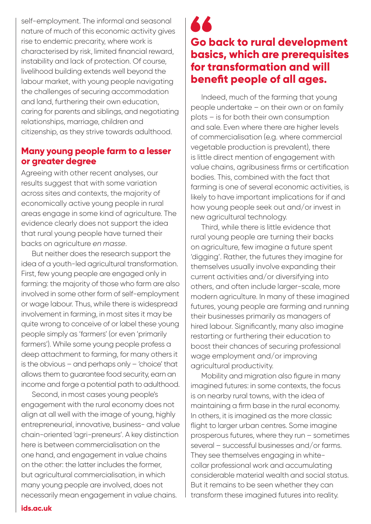self-employment. The informal and seasonal nature of much of this economic activity gives rise to endemic precarity, where work is characterised by risk, limited financial reward, instability and lack of protection. Of course, livelihood building extends well beyond the labour market, with young people navigating the challenges of securing accommodation and land, furthering their own education, caring for parents and siblings, and negotiating relationships, marriage, children and citizenship, as they strive towards adulthood.

#### **Many young people farm to a lesser or greater degree**

Agreeing with other recent analyses, our results suggest that with some variation across sites and contexts, the majority of economically active young people in rural areas engage in some kind of agriculture. The evidence clearly does not support the idea that rural young people have turned their backs on agriculture *en masse*.

But neither does the research support the idea of a youth-led agricultural transformation. First, few young people are engaged only in farming: the majority of those who farm are also involved in some other form of self-employment or wage labour. Thus, while there is widespread involvement in farming, in most sites it may be quite wrong to conceive of or label these young people simply as 'farmers' (or even 'primarily farmers'). While some young people profess a deep attachment to farming, for many others it is the obvious – and perhaps only – 'choice' that allows them to guarantee food security, earn an income and forge a potential path to adulthood.

Second, in most cases young people's engagement with the rural economy does not align at all well with the image of young, highly entrepreneurial, innovative, business- and value chain-oriented 'agri-preneurs'. A key distinction here is between commercialisation on the one hand, and engagement in value chains on the other: the latter includes the former, but agricultural commercialisation, in which many young people are involved, does not necessarily mean engagement in value chains.

### 66 **Go back to rural development basics, which are prerequisites for transformation and will benefit people of all ages.**

Indeed, much of the farming that young people undertake – on their own or on family plots – is for both their own consumption and sale. Even where there are higher levels of commercialisation (e.g. where commercial vegetable production is prevalent), there is little direct mention of engagement with value chains, agribusiness firms or certification bodies. This, combined with the fact that farming is one of several economic activities, is likely to have important implications for if and how young people seek out and/or invest in new agricultural technology.

Third, while there is little evidence that rural young people are turning their backs on agriculture, few imagine a future spent 'digging'. Rather, the futures they imagine for themselves usually involve expanding their current activities and/or diversifying into others, and often include larger-scale, more modern agriculture. In many of these imagined futures, young people are farming and running their businesses primarily as managers of hired labour. Significantly, many also imagine restarting or furthering their education to boost their chances of securing professional wage employment and/or improving agricultural productivity.

Mobility and migration also figure in many imagined futures: in some contexts, the focus is on nearby rural towns, with the idea of maintaining a firm base in the rural economy. In others, it is imagined as the more classic flight to larger urban centres. Some imagine prosperous futures, where they run – sometimes several – successful businesses and/or farms. They see themselves engaging in whitecollar professional work and accumulating considerable material wealth and social status. But it remains to be seen whether they can transform these imagined futures into reality.

#### **[ids.ac.uk](https://www.ids.ac.uk/)**